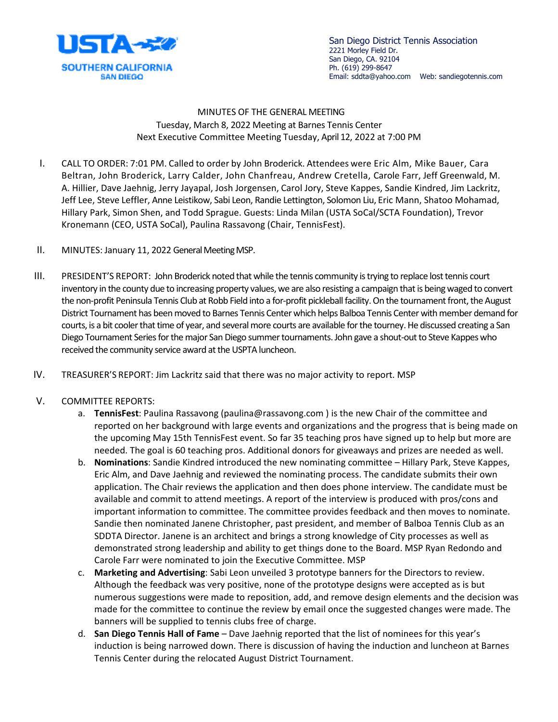

San Diego District Tennis Association 2221 Morley Field Dr. San Diego, CA. 92104 Ph. (619) 299-8647 Email: sddta@yahoo.com Web: sandiegotennis.com

MINUTES OF THE GENERAL MEETING Tuesday, March 8, 2022 Meeting at Barnes Tennis Center Next Executive Committee Meeting Tuesday, April 12, 2022 at 7:00 PM

- I. CALL TO ORDER: 7:01 PM. Called to order by John Broderick. Attendees were Eric Alm, Mike Bauer, Cara Beltran, John Broderick, Larry Calder, John Chanfreau, Andrew Cretella, Carole Farr, Jeff Greenwald, M. A. Hillier, Dave Jaehnig, Jerry Jayapal, Josh Jorgensen, Carol Jory, Steve Kappes, Sandie Kindred, Jim Lackritz, Jeff Lee, Steve Leffler, Anne Leistikow, Sabi Leon, Randie Lettington, Solomon Liu, Eric Mann, Shatoo Mohamad, Hillary Park, Simon Shen, and Todd Sprague. Guests: Linda Milan (USTA SoCal/SCTA Foundation), Trevor Kronemann (CEO, USTA SoCal), Paulina Rassavong (Chair, TennisFest).
- II. MINUTES: January 11, 2022 General Meeting MSP.
- III. PRESIDENT'S REPORT: John Broderick noted that while the tennis community is trying to replace lost tennis court inventory in the county due to increasing property values, we are also resisting a campaign that is being waged to convert the non-profit Peninsula Tennis Club at Robb Field into a for-profit pickleball facility. On the tournament front, the August District Tournament has been moved to Barnes Tennis Center which helps Balboa Tennis Center with member demand for courts, is a bit cooler that time of year, and several more courts are available for the tourney. He discussed creating a San Diego Tournament Series for the major San Diego summer tournaments. John gave a shout-out to Steve Kappes who received the community service award at the USPTA luncheon.
- IV. TREASURER'S REPORT: Jim Lackritz said that there was no major activity to report. MSP
- V. COMMITTEE REPORTS:
	- a. **TennisFest**: Paulina Rassavong (paulina@rassavong.com ) is the new Chair of the committee and reported on her background with large events and organizations and the progress that is being made on the upcoming May 15th TennisFest event. So far 35 teaching pros have signed up to help but more are needed. The goal is 60 teaching pros. Additional donors for giveaways and prizes are needed as well.
	- b. **Nominations**: Sandie Kindred introduced the new nominating committee Hillary Park, Steve Kappes, Eric Alm, and Dave Jaehnig and reviewed the nominating process. The candidate submits their own application. The Chair reviews the application and then does phone interview. The candidate must be available and commit to attend meetings. A report of the interview is produced with pros/cons and important information to committee. The committee provides feedback and then moves to nominate. Sandie then nominated Janene Christopher, past president, and member of Balboa Tennis Club as an SDDTA Director. Janene is an architect and brings a strong knowledge of City processes as well as demonstrated strong leadership and ability to get things done to the Board. MSP Ryan Redondo and Carole Farr were nominated to join the Executive Committee. MSP
	- c. **Marketing and Advertising**: Sabi Leon unveiled 3 prototype banners for the Directors to review. Although the feedback was very positive, none of the prototype designs were accepted as is but numerous suggestions were made to reposition, add, and remove design elements and the decision was made for the committee to continue the review by email once the suggested changes were made. The banners will be supplied to tennis clubs free of charge.
	- d. **San Diego Tennis Hall of Fame** Dave Jaehnig reported that the list of nominees for this year's induction is being narrowed down. There is discussion of having the induction and luncheon at Barnes Tennis Center during the relocated August District Tournament.